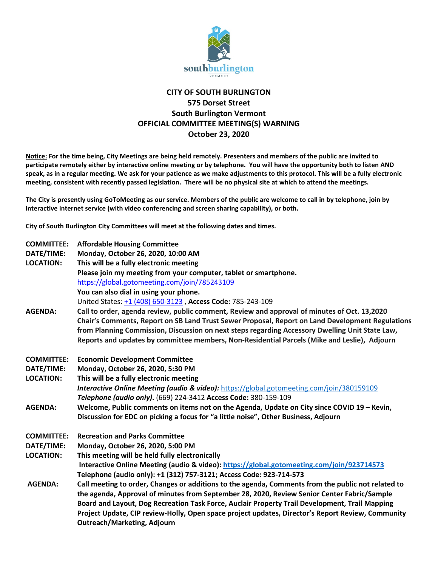

## **CITY OF SOUTH BURLINGTON 575 Dorset Street South Burlington Vermont OFFICIAL COMMITTEE MEETING(S) WARNING October 23, 2020**

**Notice: For the time being, City Meetings are being held remotely. Presenters and members of the public are invited to participate remotely either by interactive online meeting or by telephone. You will have the opportunity both to listen AND speak, as in a regular meeting. We ask for your patience as we make adjustments to this protocol. This will be a fully electronic meeting, consistent with recently passed legislation. There will be no physical site at which to attend the meetings.** 

**The City is presently using GoToMeeting as our service. Members of the public are welcome to call in by telephone, join by interactive internet service (with video conferencing and screen sharing capability), or both.**

**City of South Burlington City Committees will meet at the following dates and times.** 

| <b>COMMITTEE:</b><br>DATE/TIME:<br><b>LOCATION:</b> | <b>Affordable Housing Committee</b><br>Monday, October 26, 2020, 10:00 AM<br>This will be a fully electronic meeting<br>Please join my meeting from your computer, tablet or smartphone.<br>https://global.gotomeeting.com/join/785243109<br>You can also dial in using your phone.<br>United States: +1 (408) 650-3123, Access Code: 785-243-109                                                                                       |
|-----------------------------------------------------|-----------------------------------------------------------------------------------------------------------------------------------------------------------------------------------------------------------------------------------------------------------------------------------------------------------------------------------------------------------------------------------------------------------------------------------------|
| <b>AGENDA:</b>                                      | Call to order, agenda review, public comment, Review and approval of minutes of Oct. 13,2020<br>Chair's Comments, Report on SB Land Trust Sewer Proposal, Report on Land Development Regulations<br>from Planning Commission, Discussion on next steps regarding Accessory Dwelling Unit State Law,<br>Reports and updates by committee members, Non-Residential Parcels (Mike and Leslie), Adjourn                                     |
| <b>COMMITTEE:</b>                                   | <b>Economic Development Committee</b>                                                                                                                                                                                                                                                                                                                                                                                                   |
| DATE/TIME:                                          | Monday, October 26, 2020, 5:30 PM                                                                                                                                                                                                                                                                                                                                                                                                       |
| <b>LOCATION:</b>                                    | This will be a fully electronic meeting                                                                                                                                                                                                                                                                                                                                                                                                 |
|                                                     | <b>Interactive Online Meeting (audio &amp; video):</b> https://global.gotomeeting.com/join/380159109                                                                                                                                                                                                                                                                                                                                    |
|                                                     | Telephone (audio only). (669) 224-3412 Access Code: 380-159-109                                                                                                                                                                                                                                                                                                                                                                         |
| <b>AGENDA:</b>                                      | Welcome, Public comments on items not on the Agenda, Update on City since COVID 19 - Kevin,                                                                                                                                                                                                                                                                                                                                             |
|                                                     | Discussion for EDC on picking a focus for "a little noise", Other Business, Adjourn                                                                                                                                                                                                                                                                                                                                                     |
| <b>COMMITTEE:</b>                                   | <b>Recreation and Parks Committee</b>                                                                                                                                                                                                                                                                                                                                                                                                   |
| DATE/TIME:                                          | Monday, October 26, 2020, 5:00 PM                                                                                                                                                                                                                                                                                                                                                                                                       |
| <b>LOCATION:</b>                                    | This meeting will be held fully electronically                                                                                                                                                                                                                                                                                                                                                                                          |
|                                                     | Interactive Online Meeting (audio & video): https://global.gotomeeting.com/join/923714573                                                                                                                                                                                                                                                                                                                                               |
|                                                     | Telephone (audio only): +1 (312) 757-3121; Access Code: 923-714-573                                                                                                                                                                                                                                                                                                                                                                     |
| <b>AGENDA:</b>                                      | Call meeting to order, Changes or additions to the agenda, Comments from the public not related to<br>the agenda, Approval of minutes from September 28, 2020, Review Senior Center Fabric/Sample<br>Board and Layout, Dog Recreation Task Force, Auclair Property Trail Development, Trail Mapping<br>Project Update, CIP review-Holly, Open space project updates, Director's Report Review, Community<br>Outreach/Marketing, Adjourn |